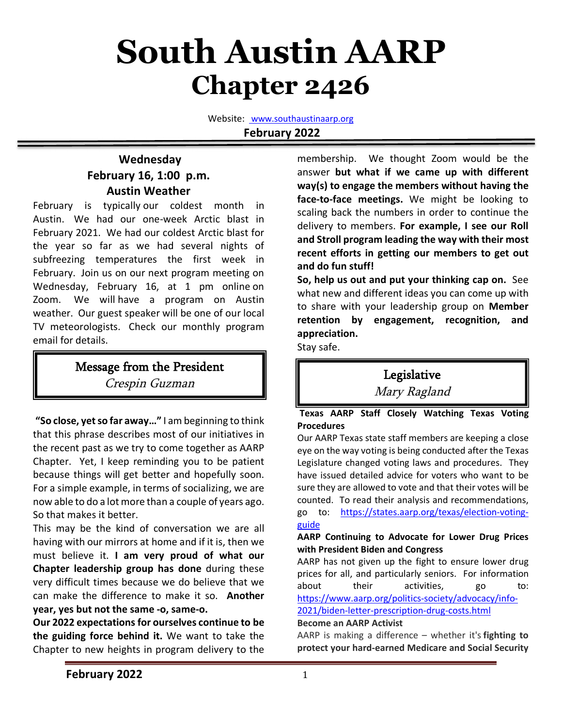# **South Austin AARP Chapter 2426**

Website: www.southaustinaarp.org **February 2022**

### **Wednesday February 16, 1:00 p.m. Austin Weather**

February is typically our coldest month in Austin. We had our one-week Arctic blast in February 2021. We had our coldest Arctic blast for the year so far as we had several nights of subfreezing temperatures the first week in February. Join us on our next program meeting on Wednesday, February 16, at 1 pm online on Zoom. We will have a program on Austin weather. Our guest speaker will be one of our local TV meteorologists. Check our monthly program email for details.

# Message from the President Crespin Guzman

**"So close, yet so far away…"** I am beginning to think that this phrase describes most of our initiatives in the recent past as we try to come together as AARP Chapter. Yet, I keep reminding you to be patient because things will get better and hopefully soon. For a simple example, in terms of socializing, we are now able to do a lot more than a couple of years ago. So that makes it better.

This may be the kind of conversation we are all having with our mirrors at home and if it is, then we must believe it. **I am very proud of what our Chapter leadership group has done** during these very difficult times because we do believe that we can make the difference to make it so. **Another year, yes but not the same -o, same-o.**

**Our 2022 expectations for ourselves continue to be the guiding force behind it.** We want to take the Chapter to new heights in program delivery to the

membership. We thought Zoom would be the answer **but what if we came up with different way(s) to engage the members without having the face-to-face meetings.** We might be looking to scaling back the numbers in order to continue the delivery to members. **For example, I see our Roll and Stroll program leading the way with their most recent efforts in getting our members to get out and do fun stuff!** 

**So, help us out and put your thinking cap on.** See what new and different ideas you can come up with to share with your leadership group on **Member retention by engagement, recognition, and appreciation.** 

Stay safe.

# Legislative

Mary Ragland

**Texas AARP Staff Closely Watching Texas Voting Procedures**

Our AARP Texas state staff members are keeping a close eye on the way voting is being conducted after the Texas Legislature changed voting laws and procedures. They have issued detailed advice for voters who want to be sure they are allowed to vote and that their votes will be counted. To read their analysis and recommendations, go to: https://states.aarp.org/texas/election-votingguide

### **AARP Continuing to Advocate for Lower Drug Prices with President Biden and Congress**

AARP has not given up the fight to ensure lower drug prices for all, and particularly seniors. For information about their activities, go to: https://www.aarp.org/politics-society/advocacy/info-

2021/biden-letter-prescription-drug-costs.html

### **Become an AARP Activist**

AARP is making a difference – whether it's **fighting to protect your hard-earned Medicare and Social Security**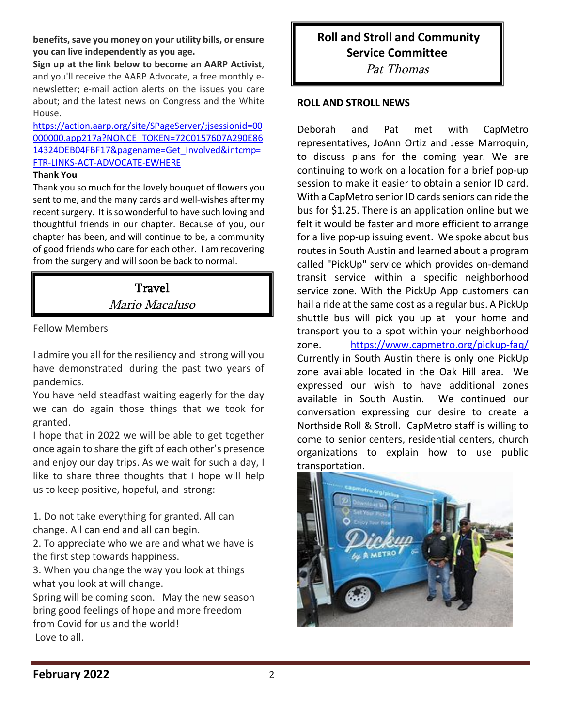**benefits,save you money on your utility bills, or ensure you can live independently as you age.**

**Sign up at the link below to become an AARP Activist**, and you'll receive the AARP Advocate, a free monthly enewsletter; e-mail action alerts on the issues you care about; and the latest news on Congress and the White House.

https://action.aarp.org/site/SPageServer/;jsessionid=00 000000.app217a?NONCE\_TOKEN=72C0157607A290E86 14324DEB04FBF17&pagename=Get\_Involved&intcmp= FTR-LINKS-ACT-ADVOCATE-EWHERE

### **Thank You**

Thank you so much for the lovely bouquet of flowers you sent to me, and the many cards and well-wishes after my recent surgery. It is so wonderful to have such loving and thoughtful friends in our chapter. Because of you, our chapter has been, and will continue to be, a community of good friends who care for each other. I am recovering from the surgery and will soon be back to normal.

> **Travel** Mario Macaluso

Fellow Members

I admire you all for the resiliency and strong will you have demonstrated during the past two years of pandemics.

You have held steadfast waiting eagerly for the day we can do again those things that we took for granted.

I hope that in 2022 we will be able to get together once again to share the gift of each other's presence and enjoy our day trips. As we wait for such a day, I like to share three thoughts that I hope will help us to keep positive, hopeful, and strong:

1. Do not take everything for granted. All can change. All can end and all can begin.

2. To appreciate who we are and what we have is the first step towards happiness.

3. When you change the way you look at things what you look at will change.

Spring will be coming soon. May the new season bring good feelings of hope and more freedom from Covid for us and the world! Love to all.

**Roll and Stroll and Community Service Committee** Pat Thomas

### **ROLL AND STROLL NEWS**

Deborah and Pat met with CapMetro representatives, JoAnn Ortiz and Jesse Marroquin, to discuss plans for the coming year. We are continuing to work on a location for a brief pop-up session to make it easier to obtain a senior ID card. With a CapMetro senior ID cards seniors can ride the bus for \$1.25. There is an application online but we felt it would be faster and more efficient to arrange for a live pop-up issuing event. We spoke about bus routes in South Austin and learned about a program called "PickUp" service which provides on-demand transit service within a specific neighborhood service zone. With the PickUp App customers can hail a ride at the same cost as a regular bus. A PickUp shuttle bus will pick you up at your home and transport you to a spot within your neighborhood zone. https://www.capmetro.org/pickup-faq/ Currently in South Austin there is only one PickUp zone available located in the Oak Hill area. We expressed our wish to have additional zones available in South Austin. We continued our conversation expressing our desire to create a Northside Roll & Stroll. CapMetro staff is willing to come to senior centers, residential centers, church organizations to explain how to use public transportation.

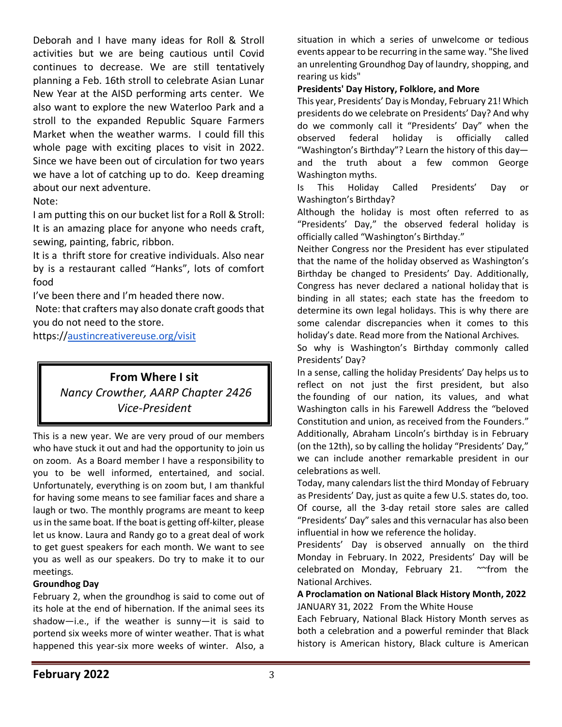Deborah and I have many ideas for Roll & Stroll activities but we are being cautious until Covid continues to decrease. We are still tentatively planning a Feb. 16th stroll to celebrate Asian Lunar New Year at the AISD performing arts center. We also want to explore the new Waterloo Park and a stroll to the expanded Republic Square Farmers Market when the weather warms. I could fill this whole page with exciting places to visit in 2022. Since we have been out of circulation for two years we have a lot of catching up to do. Keep dreaming about our next adventure.

Note:

I am putting this on our bucket list for a Roll & Stroll: It is an amazing place for anyone who needs craft, sewing, painting, fabric, ribbon.

It is a thrift store for creative individuals. Also near by is a restaurant called "Hanks", lots of comfort food

I've been there and I'm headed there now.

Note: that crafters may also donate craft goods that you do not need to the store.

https://austincreativereuse.org/visit

# **From Where I sit** *Nancy Crowther, AARP Chapter 2426 Vice-President*

This is a new year. We are very proud of our members who have stuck it out and had the opportunity to join us on zoom. As a Board member I have a responsibility to you to be well informed, entertained, and social. Unfortunately, everything is on zoom but, I am thankful for having some means to see familiar faces and share a laugh or two. The monthly programs are meant to keep us in the same boat. If the boat is getting off-kilter, please let us know. Laura and Randy go to a great deal of work to get guest speakers for each month. We want to see you as well as our speakers. Do try to make it to our meetings.

### **Groundhog Day**

February 2, when the groundhog is said to come out of its hole at the end of hibernation. If the animal sees its shadow—i.e., if the weather is sunny—it is said to portend six weeks more of winter weather. That is what happened this year-six more weeks of winter. Also, a

situation in which a series of unwelcome or tedious events appear to be recurring in the same way. "She lived an unrelenting Groundhog Day of laundry, shopping, and rearing us kids"

### **Presidents' Day History, Folklore, and More**

This year, Presidents' Day is Monday, February 21! Which presidents do we celebrate on Presidents' Day? And why do we commonly call it "Presidents' Day" when the observed federal holiday is officially called "Washington's Birthday"? Learn the history of this day and the truth about a few common George Washington myths.

Is This Holiday Called Presidents' Day or Washington's Birthday?

Although the holiday is most often referred to as "Presidents' Day," the observed federal holiday is officially called "Washington's Birthday."

Neither Congress nor the President has ever stipulated that the name of the holiday observed as Washington's Birthday be changed to Presidents' Day. Additionally, Congress has never declared a national holiday that is binding in all states; each state has the freedom to determine its own legal holidays. This is why there are some calendar discrepancies when it comes to this holiday's date. Read more from the National Archives.

So why is Washington's Birthday commonly called Presidents' Day?

In a sense, calling the holiday Presidents' Day helps us to reflect on not just the first president, but also the founding of our nation, its values, and what Washington calls in his Farewell Address the "beloved Constitution and union, as received from the Founders." Additionally, Abraham Lincoln's birthday is in February (on the 12th), so by calling the holiday "Presidents' Day," we can include another remarkable president in our celebrations as well.

Today, many calendars list the third Monday of February as Presidents' Day, just as quite a few U.S. states do, too. Of course, all the 3-day retail store sales are called "Presidents' Day" sales and this vernacular has also been influential in how we reference the holiday.

Presidents' Day is observed annually on the third Monday in February. In 2022, Presidents' Day will be celebrated on Monday, February 21. ~~ from the National Archives.

#### **A Proclamation on National Black History Month, 2022** JANUARY 31, 2022 From the White House

Each February, National Black History Month serves as both a celebration and a powerful reminder that Black history is American history, Black culture is American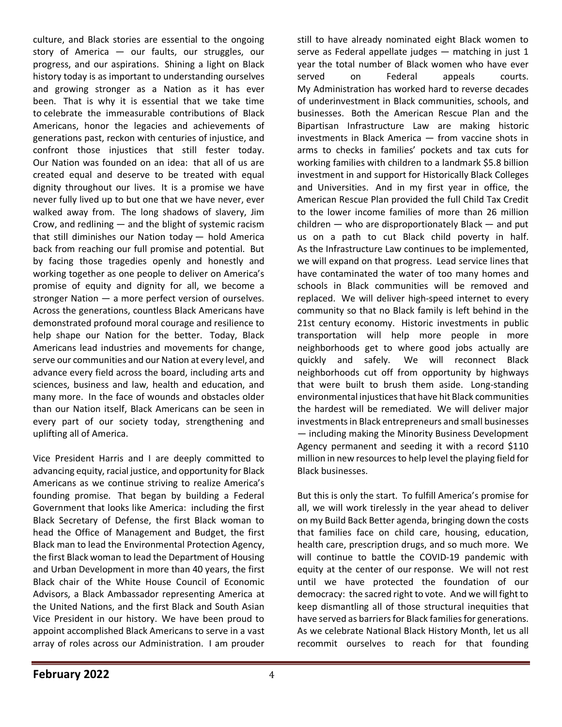culture, and Black stories are essential to the ongoing story of America — our faults, our struggles, our progress, and our aspirations. Shining a light on Black history today is as important to understanding ourselves and growing stronger as a Nation as it has ever been. That is why it is essential that we take time to celebrate the immeasurable contributions of Black Americans, honor the legacies and achievements of generations past, reckon with centuries of injustice, and confront those injustices that still fester today. Our Nation was founded on an idea: that all of us are created equal and deserve to be treated with equal dignity throughout our lives. It is a promise we have never fully lived up to but one that we have never, ever walked away from. The long shadows of slavery, Jim Crow, and redlining — and the blight of systemic racism that still diminishes our Nation today — hold America back from reaching our full promise and potential. But by facing those tragedies openly and honestly and working together as one people to deliver on America's promise of equity and dignity for all, we become a stronger Nation — a more perfect version of ourselves. Across the generations, countless Black Americans have demonstrated profound moral courage and resilience to help shape our Nation for the better. Today, Black Americans lead industries and movements for change, serve our communities and our Nation at every level, and advance every field across the board, including arts and sciences, business and law, health and education, and many more. In the face of wounds and obstacles older than our Nation itself, Black Americans can be seen in every part of our society today, strengthening and uplifting all of America.

Vice President Harris and I are deeply committed to advancing equity, racial justice, and opportunity for Black Americans as we continue striving to realize America's founding promise. That began by building a Federal Government that looks like America: including the first Black Secretary of Defense, the first Black woman to head the Office of Management and Budget, the first Black man to lead the Environmental Protection Agency, the first Black woman to lead the Department of Housing and Urban Development in more than 40 years, the first Black chair of the White House Council of Economic Advisors, a Black Ambassador representing America at the United Nations, and the first Black and South Asian Vice President in our history. We have been proud to appoint accomplished Black Americans to serve in a vast array of roles across our Administration. I am prouder

still to have already nominated eight Black women to serve as Federal appellate judges — matching in just 1 year the total number of Black women who have ever served on Federal appeals courts. My Administration has worked hard to reverse decades of underinvestment in Black communities, schools, and businesses. Both the American Rescue Plan and the Bipartisan Infrastructure Law are making historic investments in Black America — from vaccine shots in arms to checks in families' pockets and tax cuts for working families with children to a landmark \$5.8 billion investment in and support for Historically Black Colleges and Universities. And in my first year in office, the American Rescue Plan provided the full Child Tax Credit to the lower income families of more than 26 million children — who are disproportionately Black — and put us on a path to cut Black child poverty in half. As the Infrastructure Law continues to be implemented, we will expand on that progress. Lead service lines that have contaminated the water of too many homes and schools in Black communities will be removed and replaced. We will deliver high-speed internet to every community so that no Black family is left behind in the 21st century economy. Historic investments in public transportation will help more people in more neighborhoods get to where good jobs actually are quickly and safely. We will reconnect Black neighborhoods cut off from opportunity by highways that were built to brush them aside. Long-standing environmental injustices that have hit Black communities the hardest will be remediated. We will deliver major investments in Black entrepreneurs and small businesses — including making the Minority Business Development Agency permanent and seeding it with a record \$110 million in new resources to help level the playing field for Black businesses.

But this is only the start. To fulfill America's promise for all, we will work tirelessly in the year ahead to deliver on my Build Back Better agenda, bringing down the costs that families face on child care, housing, education, health care, prescription drugs, and so much more. We will continue to battle the COVID-19 pandemic with equity at the center of our response. We will not rest until we have protected the foundation of our democracy: the sacred right to vote. And we will fight to keep dismantling all of those structural inequities that have served as barriers for Black families for generations. As we celebrate National Black History Month, let us all recommit ourselves to reach for that founding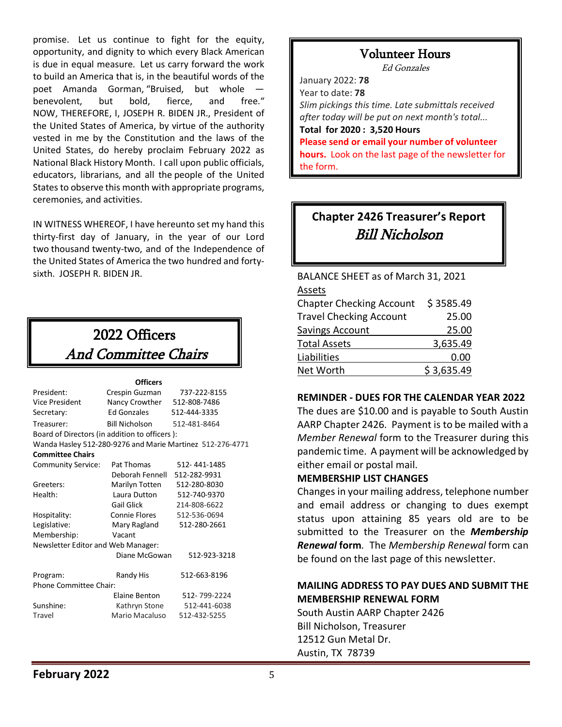promise. Let us continue to fight for the equity, opportunity, and dignity to which every Black American is due in equal measure. Let us carry forward the work to build an America that is, in the beautiful words of the poet Amanda Gorman, "Bruised, but whole benevolent, but bold, fierce, and free." NOW, THEREFORE, I, JOSEPH R. BIDEN JR., President of the United States of America, by virtue of the authority vested in me by the Constitution and the laws of the United States, do hereby proclaim February 2022 as National Black History Month. I call upon public officials, educators, librarians, and all the people of the United States to observe this month with appropriate programs, ceremonies, and activities.

IN WITNESS WHEREOF, I have hereunto set my hand this thirty-first day of January, in the year of our Lord two thousand twenty-two, and of the Independence of the United States of America the two hundred and fortysixth. JOSEPH R. BIDEN JR.

# 2022 Officers And Committee Chairs

|                                               | <b>Officers</b>               |                                                           |  |  |  |  |  |
|-----------------------------------------------|-------------------------------|-----------------------------------------------------------|--|--|--|--|--|
| President:                                    | Crespin Guzman                | 737-222-8155                                              |  |  |  |  |  |
| Vice President                                | Nancy Crowther 512-808-7486   |                                                           |  |  |  |  |  |
| Secretary:                                    | <b>Ed Gonzales</b>            | 512-444-3335                                              |  |  |  |  |  |
| Treasurer:                                    | Bill Nicholson 512-481-8464   |                                                           |  |  |  |  |  |
| Board of Directors (in addition to officers): |                               |                                                           |  |  |  |  |  |
|                                               |                               | Wanda Hasley 512-280-9276 and Marie Martinez 512-276-4771 |  |  |  |  |  |
| <b>Committee Chairs</b>                       |                               |                                                           |  |  |  |  |  |
| <b>Community Service:</b>                     | Pat Thomas                    | 512-441-1485                                              |  |  |  |  |  |
|                                               | Deborah Fennell 512-282-9931  |                                                           |  |  |  |  |  |
| Greeters:                                     | Marilyn Totten                | 512-280-8030                                              |  |  |  |  |  |
| Health:                                       | Laura Dutton                  | 512-740-9370                                              |  |  |  |  |  |
|                                               | <b>Gail Glick</b>             | 214-808-6622                                              |  |  |  |  |  |
| Hospitality:                                  | Connie Flores<br>512-536-0694 |                                                           |  |  |  |  |  |
| Legislative:                                  | Mary Ragland                  | 512-280-2661                                              |  |  |  |  |  |
| Membership:                                   | Vacant                        |                                                           |  |  |  |  |  |
| Newsletter Editor and Web Manager:            |                               |                                                           |  |  |  |  |  |
|                                               | Diane McGowan                 | 512-923-3218                                              |  |  |  |  |  |
| Program:                                      | Randy His                     | 512-663-8196                                              |  |  |  |  |  |
| Phone Committee Chair:                        |                               |                                                           |  |  |  |  |  |
|                                               | <b>Flaine Benton</b>          | 512-799-2224                                              |  |  |  |  |  |
| Sunshine:                                     | Kathryn Stone                 | 512-441-6038                                              |  |  |  |  |  |
| Travel                                        | Mario Macaluso                | 512-432-5255                                              |  |  |  |  |  |

# Volunteer Hours

Ed Gonzales

January 2022: **78** Year to date: **78** *Slim pickings this time. Late submittals received after today will be put on next month's total...* **Total for 2020 : 3,520 Hours Please send or email your number of volunteer hours.** Look on the last page of the newsletter for the form.

# **Chapter 2426 Treasurer's Report** Bill Nicholson

l,

BALANCE SHEET as of March 31, 2021 Assets Chapter Checking Account \$ 3585.49 Travel Checking Account 25.00 Savings Account 25.00

| 3,635.49   |
|------------|
| 0.00       |
| \$3,635.49 |
|            |

### **REMINDER - DUES FOR THE CALENDAR YEAR 2022**

The dues are \$10.00 and is payable to South Austin AARP Chapter 2426. Payment is to be mailed with a *Member Renewal* form to the Treasurer during this pandemic time. A payment will be acknowledged by either email or postal mail.

### **MEMBERSHIP LIST CHANGES**

Changes in your mailing address, telephone number and email address or changing to dues exempt status upon attaining 85 years old are to be submitted to the Treasurer on the *Membership Renewal* **form***.* The *Membership Renewal* form can be found on the last page of this newsletter.

### **MAILING ADDRESS TO PAY DUES AND SUBMIT THE MEMBERSHIP RENEWAL FORM**

South Austin AARP Chapter 2426 Bill Nicholson, Treasurer 12512 Gun Metal Dr. Austin, TX 78739